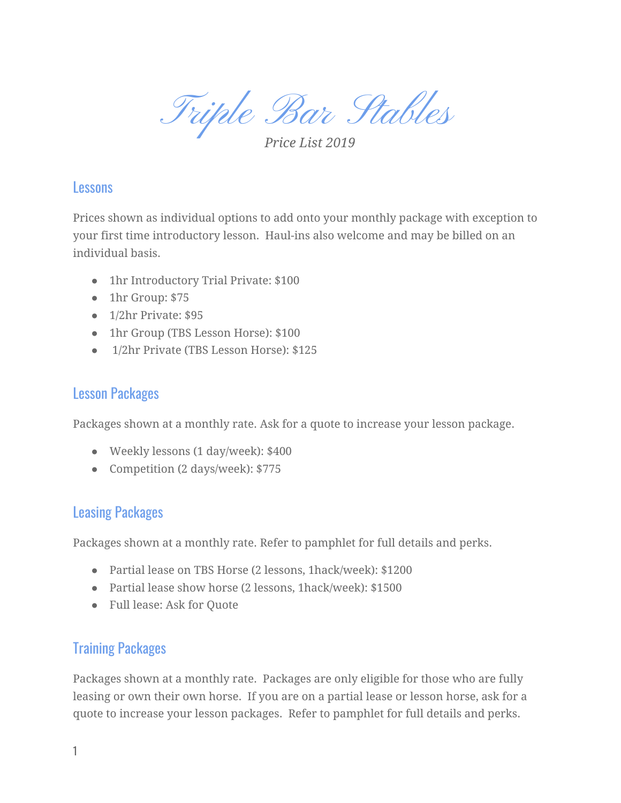Triple Bar Stables

*Price List 2019*

#### Lessons

Prices shown as individual options to add onto your monthly package with exception to your first time introductory lesson. Haul-ins also welcome and may be billed on an individual basis.

- 1hr Introductory Trial Private: \$100
- 1hr Group: \$75
- 1/2hr Private: \$95
- 1hr Group (TBS Lesson Horse): \$100
- 1/2hr Private (TBS Lesson Horse): \$125

### Lesson Packages

Packages shown at a monthly rate. Ask for a quote to increase your lesson package.

- Weekly lessons (1 day/week): \$400
- Competition (2 days/week): \$775

# Leasing Packages

Packages shown at a monthly rate. Refer to pamphlet for full details and perks.

- Partial lease on TBS Horse (2 lessons, 1hack/week): \$1200
- Partial lease show horse (2 lessons, 1hack/week): \$1500
- Full lease: Ask for Quote

# Training Packages

Packages shown at a monthly rate. Packages are only eligible for those who are fully leasing or own their own horse. If you are on a partial lease or lesson horse, ask for a quote to increase your lesson packages. Refer to pamphlet for full details and perks.